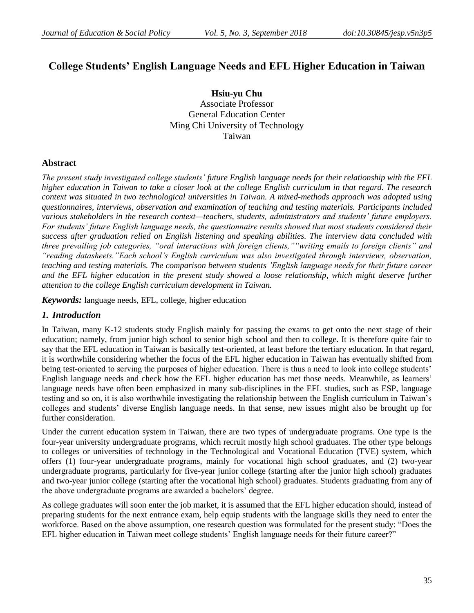# **College Students' English Language Needs and EFL Higher Education in Taiwan**

**Hsiu-yu Chu** Associate Professor General Education Center Ming Chi University of Technology Taiwan

### **Abstract**

*The present study investigated college students' future English language needs for their relationship with the EFL higher education in Taiwan to take a closer look at the college English curriculum in that regard. The research context was situated in two technological universities in Taiwan. A mixed-methods approach was adopted using questionnaires, interviews, observation and examination of teaching and testing materials. Participants included various stakeholders in the research context—teachers, students, administrators and students' future employers. For students' future English language needs, the questionnaire results showed that most students considered their success after graduation relied on English listening and speaking abilities. The interview data concluded with three prevailing job categories, "oral interactions with foreign clients,""writing emails to foreign clients" and "reading datasheets."Each school's English curriculum was also investigated through interviews, observation, teaching and testing materials. The comparison between students 'English language needs for their future career and the EFL higher education in the present study showed a loose relationship, which might deserve further attention to the college English curriculum development in Taiwan.*

*Keywords:* language needs, EFL, college, higher education

### *1. Introduction*

In Taiwan, many K-12 students study English mainly for passing the exams to get onto the next stage of their education; namely, from junior high school to senior high school and then to college. It is therefore quite fair to say that the EFL education in Taiwan is basically test-oriented, at least before the tertiary education. In that regard, it is worthwhile considering whether the focus of the EFL higher education in Taiwan has eventually shifted from being test-oriented to serving the purposes of higher education. There is thus a need to look into college students' English language needs and check how the EFL higher education has met those needs. Meanwhile, as learners" language needs have often been emphasized in many sub-disciplines in the EFL studies, such as ESP, language testing and so on, it is also worthwhile investigating the relationship between the English curriculum in Taiwan"s colleges and students" diverse English language needs. In that sense, new issues might also be brought up for further consideration.

Under the current education system in Taiwan, there are two types of undergraduate programs. One type is the four-year university undergraduate programs, which recruit mostly high school graduates. The other type belongs to colleges or universities of technology in the Technological and Vocational Education (TVE) system, which offers (1) four-year undergraduate programs, mainly for vocational high school graduates, and (2) two-year undergraduate programs, particularly for five-year junior college (starting after the junior high school) graduates and two-year junior college (starting after the vocational high school) graduates. Students graduating from any of the above undergraduate programs are awarded a bachelors" degree.

As college graduates will soon enter the job market, it is assumed that the EFL higher education should, instead of preparing students for the next entrance exam, help equip students with the language skills they need to enter the workforce. Based on the above assumption, one research question was formulated for the present study: "Does the EFL higher education in Taiwan meet college students" English language needs for their future career?"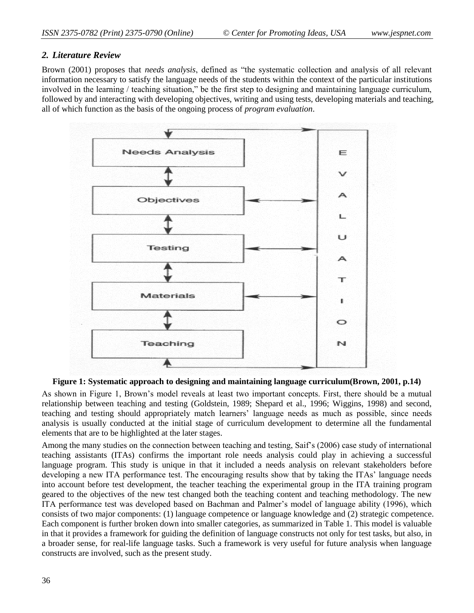### *2. Literature Review*

Brown (2001) proposes that *needs analysis*, defined as "the systematic collection and analysis of all relevant information necessary to satisfy the language needs of the students within the context of the particular institutions involved in the learning / teaching situation," be the first step to designing and maintaining language curriculum, followed by and interacting with developing objectives, writing and using tests, developing materials and teaching, all of which function as the basis of the ongoing process of *program evaluation*.





As shown in Figure 1, Brown"s model reveals at least two important concepts. First, there should be a mutual relationship between teaching and testing (Goldstein, 1989; Shepard et al., 1996; Wiggins, 1998) and second, teaching and testing should appropriately match learners" language needs as much as possible, since needs analysis is usually conducted at the initial stage of curriculum development to determine all the fundamental elements that are to be highlighted at the later stages.

Among the many studies on the connection between teaching and testing, Saif"s (2006) case study of international teaching assistants (ITAs) confirms the important role needs analysis could play in achieving a successful language program. This study is unique in that it included a needs analysis on relevant stakeholders before developing a new ITA performance test. The encouraging results show that by taking the ITAs' language needs into account before test development, the teacher teaching the experimental group in the ITA training program geared to the objectives of the new test changed both the teaching content and teaching methodology. The new ITA performance test was developed based on Bachman and Palmer"s model of language ability (1996), which consists of two major components: (1) language competence or language knowledge and (2) strategic competence. Each component is further broken down into smaller categories, as summarized in Table 1. This model is valuable in that it provides a framework for guiding the definition of language constructs not only for test tasks, but also, in a broader sense, for real-life language tasks. Such a framework is very useful for future analysis when language constructs are involved, such as the present study.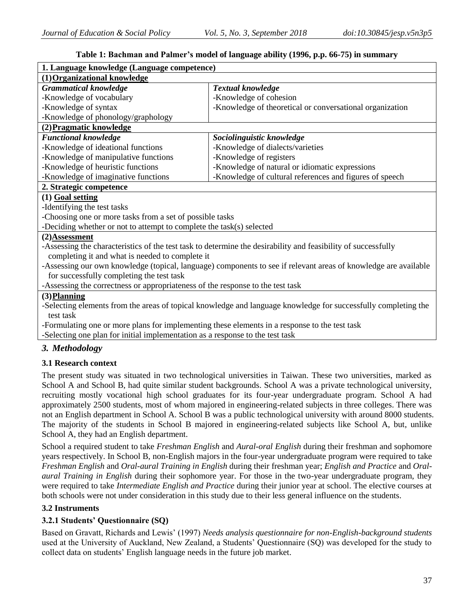| 1. Language knowledge (Language competence)                                                   |                                                                                                                 |  |  |  |  |  |  |
|-----------------------------------------------------------------------------------------------|-----------------------------------------------------------------------------------------------------------------|--|--|--|--|--|--|
| (1) Organizational knowledge                                                                  |                                                                                                                 |  |  |  |  |  |  |
| <b>Grammatical knowledge</b>                                                                  | <b>Textual knowledge</b>                                                                                        |  |  |  |  |  |  |
| -Knowledge of vocabulary                                                                      | -Knowledge of cohesion                                                                                          |  |  |  |  |  |  |
| -Knowledge of syntax                                                                          | -Knowledge of theoretical or conversational organization                                                        |  |  |  |  |  |  |
| -Knowledge of phonology/graphology                                                            |                                                                                                                 |  |  |  |  |  |  |
| (2) Pragmatic knowledge                                                                       |                                                                                                                 |  |  |  |  |  |  |
| <b>Functional knowledge</b>                                                                   | Sociolinguistic knowledge                                                                                       |  |  |  |  |  |  |
| -Knowledge of ideational functions                                                            | -Knowledge of dialects/varieties                                                                                |  |  |  |  |  |  |
| -Knowledge of manipulative functions                                                          | -Knowledge of registers                                                                                         |  |  |  |  |  |  |
| -Knowledge of heuristic functions                                                             | -Knowledge of natural or idiomatic expressions                                                                  |  |  |  |  |  |  |
| -Knowledge of imaginative functions                                                           | -Knowledge of cultural references and figures of speech                                                         |  |  |  |  |  |  |
| 2. Strategic competence                                                                       |                                                                                                                 |  |  |  |  |  |  |
| $(1)$ Goal setting                                                                            |                                                                                                                 |  |  |  |  |  |  |
| -Identifying the test tasks                                                                   |                                                                                                                 |  |  |  |  |  |  |
| -Choosing one or more tasks from a set of possible tasks                                      |                                                                                                                 |  |  |  |  |  |  |
| -Deciding whether or not to attempt to complete the task(s) selected                          |                                                                                                                 |  |  |  |  |  |  |
| (2)Assessment                                                                                 |                                                                                                                 |  |  |  |  |  |  |
|                                                                                               | -Assessing the characteristics of the test task to determine the desirability and feasibility of successfully   |  |  |  |  |  |  |
| completing it and what is needed to complete it                                               |                                                                                                                 |  |  |  |  |  |  |
|                                                                                               | -Assessing our own knowledge (topical, language) components to see if relevant areas of knowledge are available |  |  |  |  |  |  |
| for successfully completing the test task                                                     |                                                                                                                 |  |  |  |  |  |  |
| -Assessing the correctness or appropriateness of the response to the test task                |                                                                                                                 |  |  |  |  |  |  |
| (3) Planning                                                                                  |                                                                                                                 |  |  |  |  |  |  |
|                                                                                               | -Selecting elements from the areas of topical knowledge and language knowledge for successfully completing the  |  |  |  |  |  |  |
| test task                                                                                     |                                                                                                                 |  |  |  |  |  |  |
| -Formulating one or more plans for implementing these elements in a response to the test task |                                                                                                                 |  |  |  |  |  |  |
| -Selecting one plan for initial implementation as a response to the test task                 |                                                                                                                 |  |  |  |  |  |  |

### **Table 1: Bachman and Palmer's model of language ability (1996, p.p. 66-75) in summary**

### *3. Methodology*

### **3.1 Research context**

The present study was situated in two technological universities in Taiwan. These two universities, marked as School A and School B, had quite similar student backgrounds. School A was a private technological university, recruiting mostly vocational high school graduates for its four-year undergraduate program. School A had approximately 2500 students, most of whom majored in engineering-related subjects in three colleges. There was not an English department in School A. School B was a public technological university with around 8000 students. The majority of the students in School B majored in engineering-related subjects like School A, but, unlike School A, they had an English department.

School a required student to take *Freshman English* and *Aural-oral English* during their freshman and sophomore years respectively. In School B, non-English majors in the four-year undergraduate program were required to take *Freshman English* and *Oral-aural Training in English* during their freshman year; *English and Practice* and *Oralaural Training in English* during their sophomore year. For those in the two-year undergraduate program, they were required to take *Intermediate English and Practice* during their junior year at school. The elective courses at both schools were not under consideration in this study due to their less general influence on the students.

### **3.2 Instruments**

### **3.2.1 Students' Questionnaire (SQ)**

Based on Gravatt, Richards and Lewis" (1997) *Needs analysis questionnaire for non-English-background students* used at the University of Auckland, New Zealand, a Students" Questionnaire (SQ) was developed for the study to collect data on students" English language needs in the future job market.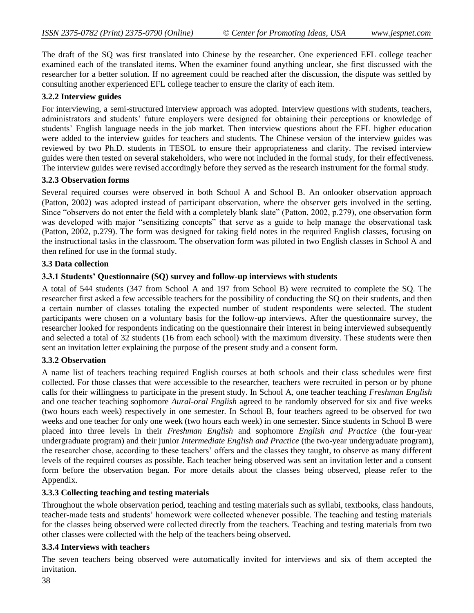The draft of the SQ was first translated into Chinese by the researcher. One experienced EFL college teacher examined each of the translated items. When the examiner found anything unclear, she first discussed with the researcher for a better solution. If no agreement could be reached after the discussion, the dispute was settled by consulting another experienced EFL college teacher to ensure the clarity of each item.

### **3.2.2 Interview guides**

For interviewing, a semi-structured interview approach was adopted. Interview questions with students, teachers, administrators and students" future employers were designed for obtaining their perceptions or knowledge of students" English language needs in the job market. Then interview questions about the EFL higher education were added to the interview guides for teachers and students. The Chinese version of the interview guides was reviewed by two Ph.D. students in TESOL to ensure their appropriateness and clarity. The revised interview guides were then tested on several stakeholders, who were not included in the formal study, for their effectiveness. The interview guides were revised accordingly before they served as the research instrument for the formal study.

#### **3.2.3 Observation forms**

Several required courses were observed in both School A and School B. An onlooker observation approach (Patton, 2002) was adopted instead of participant observation, where the observer gets involved in the setting. Since "observers do not enter the field with a completely blank slate" (Patton, 2002, p.279), one observation form was developed with major "sensitizing concepts" that serve as a guide to help manage the observational task (Patton, 2002, p.279). The form was designed for taking field notes in the required English classes, focusing on the instructional tasks in the classroom. The observation form was piloted in two English classes in School A and then refined for use in the formal study.

### **3.3 Data collection**

### **3.3.1 Students' Questionnaire (SQ) survey and follow-up interviews with students**

A total of 544 students (347 from School A and 197 from School B) were recruited to complete the SQ. The researcher first asked a few accessible teachers for the possibility of conducting the SQ on their students, and then a certain number of classes totaling the expected number of student respondents were selected. The student participants were chosen on a voluntary basis for the follow-up interviews. After the questionnaire survey, the researcher looked for respondents indicating on the questionnaire their interest in being interviewed subsequently and selected a total of 32 students (16 from each school) with the maximum diversity. These students were then sent an invitation letter explaining the purpose of the present study and a consent form.

### **3.3.2 Observation**

A name list of teachers teaching required English courses at both schools and their class schedules were first collected. For those classes that were accessible to the researcher, teachers were recruited in person or by phone calls for their willingness to participate in the present study. In School A, one teacher teaching *Freshman English* and one teacher teaching sophomore *Aural-oral English* agreed to be randomly observed for six and five weeks (two hours each week) respectively in one semester. In School B, four teachers agreed to be observed for two weeks and one teacher for only one week (two hours each week) in one semester. Since students in School B were placed into three levels in their *Freshman English* and sophomore *English and Practice* (the four-year undergraduate program) and their junior *Intermediate English and Practice* (the two-year undergraduate program), the researcher chose, according to these teachers" offers and the classes they taught, to observe as many different levels of the required courses as possible. Each teacher being observed was sent an invitation letter and a consent form before the observation began. For more details about the classes being observed, please refer to the Appendix.

#### **3.3.3 Collecting teaching and testing materials**

Throughout the whole observation period, teaching and testing materials such as syllabi, textbooks, class handouts, teacher-made tests and students" homework were collected whenever possible. The teaching and testing materials for the classes being observed were collected directly from the teachers. Teaching and testing materials from two other classes were collected with the help of the teachers being observed.

#### **3.3.4 Interviews with teachers**

The seven teachers being observed were automatically invited for interviews and six of them accepted the invitation.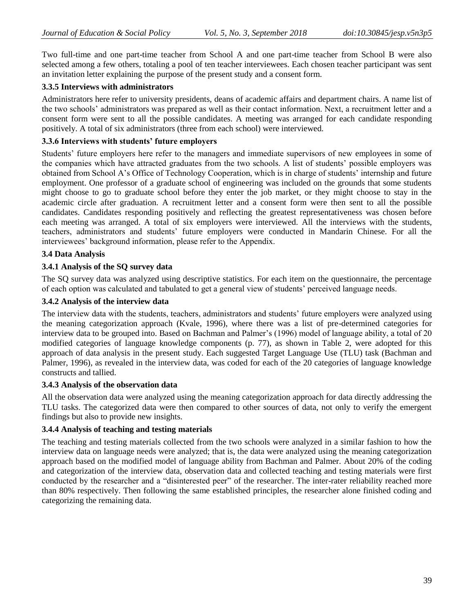Two full-time and one part-time teacher from School A and one part-time teacher from School B were also selected among a few others, totaling a pool of ten teacher interviewees. Each chosen teacher participant was sent an invitation letter explaining the purpose of the present study and a consent form.

### **3.3.5 Interviews with administrators**

Administrators here refer to university presidents, deans of academic affairs and department chairs. A name list of the two schools" administrators was prepared as well as their contact information. Next, a recruitment letter and a consent form were sent to all the possible candidates. A meeting was arranged for each candidate responding positively. A total of six administrators (three from each school) were interviewed.

### **3.3.6 Interviews with students' future employers**

Students' future employers here refer to the managers and immediate supervisors of new employees in some of the companies which have attracted graduates from the two schools. A list of students" possible employers was obtained from School A"s Office of Technology Cooperation, which is in charge of students" internship and future employment. One professor of a graduate school of engineering was included on the grounds that some students might choose to go to graduate school before they enter the job market, or they might choose to stay in the academic circle after graduation. A recruitment letter and a consent form were then sent to all the possible candidates. Candidates responding positively and reflecting the greatest representativeness was chosen before each meeting was arranged. A total of six employers were interviewed. All the interviews with the students, teachers, administrators and students" future employers were conducted in Mandarin Chinese. For all the interviewees' background information, please refer to the Appendix.

### **3.4 Data Analysis**

### **3.4.1 Analysis of the SQ survey data**

The SQ survey data was analyzed using descriptive statistics. For each item on the questionnaire, the percentage of each option was calculated and tabulated to get a general view of students' perceived language needs.

#### **3.4.2 Analysis of the interview data**

The interview data with the students, teachers, administrators and students" future employers were analyzed using the meaning categorization approach (Kvale, 1996), where there was a list of pre-determined categories for interview data to be grouped into. Based on Bachman and Palmer's (1996) model of language ability, a total of 20 modified categories of language knowledge components (p. 77), as shown in Table 2, were adopted for this approach of data analysis in the present study. Each suggested Target Language Use (TLU) task (Bachman and Palmer, 1996), as revealed in the interview data, was coded for each of the 20 categories of language knowledge constructs and tallied.

### **3.4.3 Analysis of the observation data**

All the observation data were analyzed using the meaning categorization approach for data directly addressing the TLU tasks. The categorized data were then compared to other sources of data, not only to verify the emergent findings but also to provide new insights.

### **3.4.4 Analysis of teaching and testing materials**

The teaching and testing materials collected from the two schools were analyzed in a similar fashion to how the interview data on language needs were analyzed; that is, the data were analyzed using the meaning categorization approach based on the modified model of language ability from Bachman and Palmer. About 20% of the coding and categorization of the interview data, observation data and collected teaching and testing materials were first conducted by the researcher and a "disinterested peer" of the researcher. The inter-rater reliability reached more than 80% respectively. Then following the same established principles, the researcher alone finished coding and categorizing the remaining data.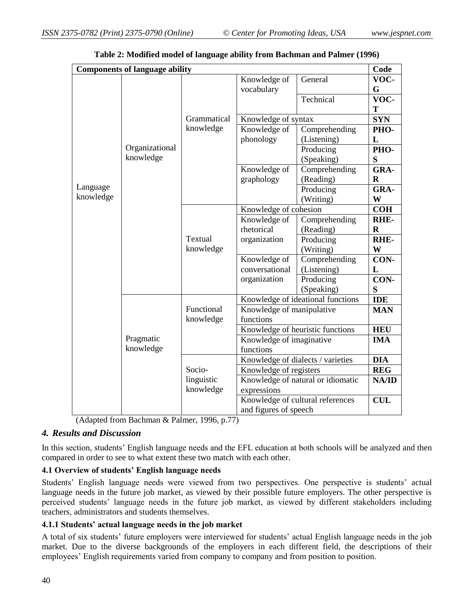|           | <b>Components of language ability</b> |             |                           |                                   | Code        |
|-----------|---------------------------------------|-------------|---------------------------|-----------------------------------|-------------|
|           |                                       |             | Knowledge of              | General                           | VOC-        |
|           |                                       |             | vocabulary                |                                   | G           |
|           |                                       |             |                           | Technical                         | VOC-        |
|           |                                       |             |                           |                                   | T           |
|           |                                       | Grammatical | Knowledge of syntax       |                                   | <b>SYN</b>  |
|           |                                       | knowledge   | Knowledge of              | Comprehending                     | PHO-        |
|           |                                       |             | phonology                 | (Listening)                       | L           |
|           | Organizational                        |             |                           | Producing                         | PHO-        |
|           | knowledge                             |             |                           | (Speaking)                        | S           |
|           |                                       |             | Knowledge of              | Comprehending                     | GRA-        |
|           |                                       |             | graphology                | (Reading)                         | $\mathbf R$ |
| Language  |                                       |             |                           | Producing                         | GRA-        |
| knowledge |                                       |             |                           | (Writing)                         | W           |
|           |                                       |             | Knowledge of cohesion     |                                   | <b>COH</b>  |
|           |                                       |             | Knowledge of              | Comprehending                     | <b>RHE-</b> |
|           |                                       |             | rhetorical                | (Reading)                         | $\mathbf R$ |
|           |                                       | Textual     | organization              | Producing                         | RHE-        |
|           |                                       | knowledge   |                           | (Writing)                         | W           |
|           |                                       |             | Knowledge of              | Comprehending                     | CON-        |
|           |                                       |             | conversational            | (Listening)                       | L           |
|           |                                       |             | organization              | Producing                         | CON-        |
|           |                                       |             |                           | (Speaking)                        | S           |
|           |                                       |             |                           | Knowledge of ideational functions | <b>IDE</b>  |
|           |                                       | Functional  | Knowledge of manipulative |                                   | <b>MAN</b>  |
|           |                                       | knowledge   | functions                 |                                   |             |
|           |                                       |             |                           | Knowledge of heuristic functions  | <b>HEU</b>  |
|           | Pragmatic                             |             | Knowledge of imaginative  |                                   | <b>IMA</b>  |
|           | knowledge                             |             | functions                 |                                   |             |
|           |                                       |             |                           | Knowledge of dialects / varieties | <b>DIA</b>  |
|           |                                       | Socio-      | Knowledge of registers    |                                   | <b>REG</b>  |
|           |                                       | linguistic  |                           | Knowledge of natural or idiomatic | NA/ID       |
|           |                                       | knowledge   | expressions               |                                   |             |
|           |                                       |             |                           | Knowledge of cultural references  | <b>CUL</b>  |
|           |                                       |             | and figures of speech     |                                   |             |

| Table 2: Modified model of language ability from Bachman and Palmer (1996) |  |  |  |  |  |
|----------------------------------------------------------------------------|--|--|--|--|--|
|----------------------------------------------------------------------------|--|--|--|--|--|

(Adapted from Bachman & Palmer, 1996, p.77)

### *4. Results and Discussion*

In this section, students" English language needs and the EFL education at both schools will be analyzed and then compared in order to see to what extent these two match with each other.

### **4.1 Overview of students' English language needs**

Students' English language needs were viewed from two perspectives. One perspective is students' actual language needs in the future job market, as viewed by their possible future employers. The other perspective is perceived students' language needs in the future job market, as viewed by different stakeholders including teachers, administrators and students themselves.

### **4.1.1 Students' actual language needs in the job market**

A total of six students' future employers were interviewed for students' actual English language needs in the job market. Due to the diverse backgrounds of the employers in each different field, the descriptions of their employees" English requirements varied from company to company and from position to position.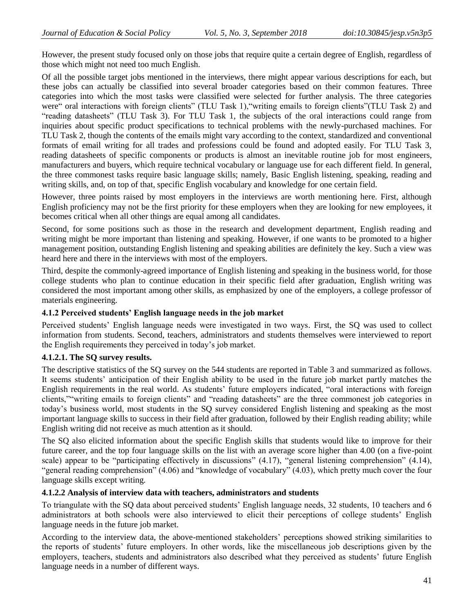However, the present study focused only on those jobs that require quite a certain degree of English, regardless of those which might not need too much English.

Of all the possible target jobs mentioned in the interviews, there might appear various descriptions for each, but these jobs can actually be classified into several broader categories based on their common features. Three categories into which the most tasks were classified were selected for further analysis. The three categories were" oral interactions with foreign clients" (TLU Task 1),"writing emails to foreign clients"(TLU Task 2) and "reading datasheets" (TLU Task 3). For TLU Task 1, the subjects of the oral interactions could range from inquiries about specific product specifications to technical problems with the newly-purchased machines. For TLU Task 2, though the contents of the emails might vary according to the context, standardized and conventional formats of email writing for all trades and professions could be found and adopted easily. For TLU Task 3, reading datasheets of specific components or products is almost an inevitable routine job for most engineers, manufacturers and buyers, which require technical vocabulary or language use for each different field. In general, the three commonest tasks require basic language skills; namely, Basic English listening, speaking, reading and writing skills, and, on top of that, specific English vocabulary and knowledge for one certain field.

However, three points raised by most employers in the interviews are worth mentioning here. First, although English proficiency may not be the first priority for these employers when they are looking for new employees, it becomes critical when all other things are equal among all candidates.

Second, for some positions such as those in the research and development department, English reading and writing might be more important than listening and speaking. However, if one wants to be promoted to a higher management position, outstanding English listening and speaking abilities are definitely the key. Such a view was heard here and there in the interviews with most of the employers.

Third, despite the commonly-agreed importance of English listening and speaking in the business world, for those college students who plan to continue education in their specific field after graduation, English writing was considered the most important among other skills, as emphasized by one of the employers, a college professor of materials engineering.

### **4.1.2 Perceived students' English language needs in the job market**

Perceived students" English language needs were investigated in two ways. First, the SQ was used to collect information from students. Second, teachers, administrators and students themselves were interviewed to report the English requirements they perceived in today"s job market.

### **4.1.2.1. The SQ survey results.**

The descriptive statistics of the SQ survey on the 544 students are reported in Table 3 and summarized as follows. It seems students" anticipation of their English ability to be used in the future job market partly matches the English requirements in the real world. As students' future employers indicated, "oral interactions with foreign clients,""writing emails to foreign clients" and "reading datasheets" are the three commonest job categories in today"s business world, most students in the SQ survey considered English listening and speaking as the most important language skills to success in their field after graduation, followed by their English reading ability; while English writing did not receive as much attention as it should.

The SQ also elicited information about the specific English skills that students would like to improve for their future career, and the top four language skills on the list with an average score higher than 4.00 (on a five-point scale) appear to be "participating effectively in discussions" (4.17), "general listening comprehension" (4.14), "general reading comprehension" (4.06) and "knowledge of vocabulary" (4.03), which pretty much cover the four language skills except writing.

### **4.1.2.2 Analysis of interview data with teachers, administrators and students**

To triangulate with the SQ data about perceived students" English language needs, 32 students, 10 teachers and 6 administrators at both schools were also interviewed to elicit their perceptions of college students" English language needs in the future job market.

According to the interview data, the above-mentioned stakeholders" perceptions showed striking similarities to the reports of students" future employers. In other words, like the miscellaneous job descriptions given by the employers, teachers, students and administrators also described what they perceived as students' future English language needs in a number of different ways.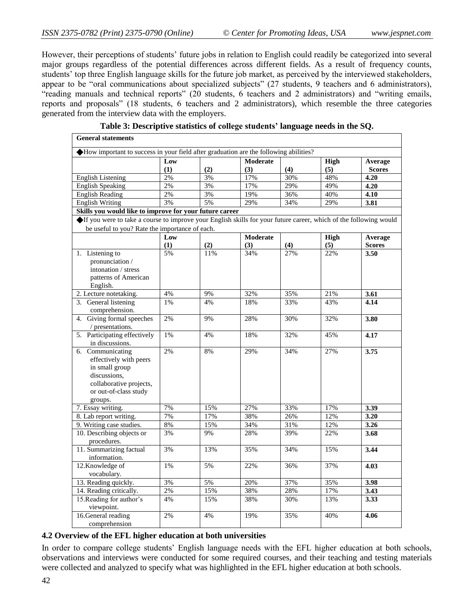However, their perceptions of students" future jobs in relation to English could readily be categorized into several major groups regardless of the potential differences across different fields. As a result of frequency counts, students" top three English language skills for the future job market, as perceived by the interviewed stakeholders, appear to be "oral communications about specialized subjects" (27 students, 9 teachers and 6 administrators), "reading manuals and technical reports" (20 students, 6 teachers and 2 administrators) and "writing emails, reports and proposals" (18 students, 6 teachers and 2 administrators), which resemble the three categories generated from the interview data with the employers.

| <b>General statements</b>                                                                                        |       |     |                 |     |             |               |  |  |
|------------------------------------------------------------------------------------------------------------------|-------|-----|-----------------|-----|-------------|---------------|--|--|
| How important to success in your field after graduation are the following abilities?                             |       |     |                 |     |             |               |  |  |
|                                                                                                                  | Low   |     | <b>Moderate</b> |     | <b>High</b> | Average       |  |  |
|                                                                                                                  | (1)   | (2) | (3)             | (4) | (5)         | <b>Scores</b> |  |  |
| <b>English Listening</b>                                                                                         | 2%    | 3%  | 17%             | 30% | 48%         | 4.20          |  |  |
| <b>English Speaking</b>                                                                                          | 2%    | 3%  | 17%             | 29% | 49%         | 4.20          |  |  |
| <b>English Reading</b>                                                                                           | 2%    | 3%  | 19%             | 36% | 40%         | 4.10          |  |  |
| <b>English Writing</b>                                                                                           | 3%    | 5%  | 29%             | 34% | 29%         | 3.81          |  |  |
| Skills you would like to improve for your future career                                                          |       |     |                 |     |             |               |  |  |
| If you were to take a course to improve your English skills for your future career, which of the following would |       |     |                 |     |             |               |  |  |
| be useful to you? Rate the importance of each.                                                                   |       |     |                 |     |             |               |  |  |
|                                                                                                                  | Low   |     | <b>Moderate</b> |     | High        | Average       |  |  |
|                                                                                                                  | (1)   | (2) | (3)             | (4) | (5)         | <b>Scores</b> |  |  |
| 1. Listening to                                                                                                  | 5%    | 11% | 34%             | 27% | 22%         | 3.50          |  |  |
| pronunciation /                                                                                                  |       |     |                 |     |             |               |  |  |
| intonation / stress                                                                                              |       |     |                 |     |             |               |  |  |
| patterns of American                                                                                             |       |     |                 |     |             |               |  |  |
| English.                                                                                                         |       |     |                 |     |             |               |  |  |
| 2. Lecture notetaking.                                                                                           | 4%    | 9%  | 32%             | 35% | 21%         | 3.61          |  |  |
| 3. General listening                                                                                             | 1%    | 4%  | 18%             | 33% | 43%         | 4.14          |  |  |
| comprehension.                                                                                                   |       |     |                 |     |             |               |  |  |
| Giving formal speeches<br>4.                                                                                     | 2%    | 9%  | 28%             | 30% | 32%         | 3.80          |  |  |
| / presentations.                                                                                                 |       |     |                 |     |             |               |  |  |
| 5. Participating effectively                                                                                     | $1\%$ | 4%  | 18%             | 32% | 45%         | 4.17          |  |  |
| in discussions.                                                                                                  |       |     |                 |     |             |               |  |  |
| 6. Communicating                                                                                                 | 2%    | 8%  | 29%             | 34% | 27%         | 3.75          |  |  |
| effectively with peers                                                                                           |       |     |                 |     |             |               |  |  |
| in small group                                                                                                   |       |     |                 |     |             |               |  |  |
| discussions,                                                                                                     |       |     |                 |     |             |               |  |  |
| collaborative projects,                                                                                          |       |     |                 |     |             |               |  |  |
| or out-of-class study                                                                                            |       |     |                 |     |             |               |  |  |
| groups.                                                                                                          | 7%    | 15% | 27%             | 33% |             | 3.39          |  |  |
| 7. Essay writing.<br>8. Lab report writing.                                                                      | 7%    | 17% | 38%             | 26% | 17%<br>12%  | 3.20          |  |  |
| 9. Writing case studies.                                                                                         | $8\%$ | 15% | 34%             | 31% | 12%         | 3.26          |  |  |
| 10. Describing objects or                                                                                        | 3%    | 9%  | 28%             | 39% | 22%         | 3.68          |  |  |
| procedures.                                                                                                      |       |     |                 |     |             |               |  |  |
| 11. Summarizing factual                                                                                          | 3%    | 13% | 35%             | 34% | 15%         | 3.44          |  |  |
| information.                                                                                                     |       |     |                 |     |             |               |  |  |
| 12. Knowledge of                                                                                                 | 1%    | 5%  | 22%             | 36% | 37%         | 4.03          |  |  |
| vocabulary.                                                                                                      |       |     |                 |     |             |               |  |  |
| 13. Reading quickly.                                                                                             | 3%    | 5%  | 20%             | 37% | 35%         | 3.98          |  |  |
| 14. Reading critically.                                                                                          | 2%    | 15% | 38%             | 28% | 17%         | 3.43          |  |  |
| 15. Reading for author's                                                                                         | 4%    | 15% | 38%             | 30% | 13%         | 3.33          |  |  |
| viewpoint.                                                                                                       |       |     |                 |     |             |               |  |  |
| 16. General reading                                                                                              | 2%    | 4%  | 19%             | 35% | 40%         | 4.06          |  |  |
| comprehension                                                                                                    |       |     |                 |     |             |               |  |  |

**Table 3: Descriptive statistics of college students' language needs in the SQ.**

### **4.2 Overview of the EFL higher education at both universities**

In order to compare college students' English language needs with the EFL higher education at both schools, observations and interviews were conducted for some required courses, and their teaching and testing materials were collected and analyzed to specify what was highlighted in the EFL higher education at both schools.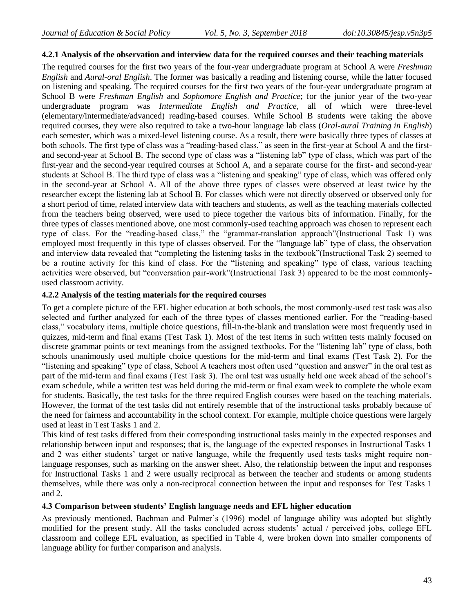#### **4.2.1 Analysis of the observation and interview data for the required courses and their teaching materials**

The required courses for the first two years of the four-year undergraduate program at School A were *Freshman English* and *Aural-oral English*. The former was basically a reading and listening course, while the latter focused on listening and speaking. The required courses for the first two years of the four-year undergraduate program at School B were *Freshman English* and *Sophomore English and Practice*; for the junior year of the two-year undergraduate program was *Intermediate English and Practice*, all of which were three-level (elementary/intermediate/advanced) reading-based courses. While School B students were taking the above required courses, they were also required to take a two-hour language lab class (*Oral-aural Training in English*) each semester, which was a mixed-level listening course. As a result, there were basically three types of classes at both schools. The first type of class was a "reading-based class," as seen in the first-year at School A and the firstand second-year at School B. The second type of class was a "listening lab" type of class, which was part of the first-year and the second-year required courses at School A, and a separate course for the first- and second-year students at School B. The third type of class was a "listening and speaking" type of class, which was offered only in the second-year at School A. All of the above three types of classes were observed at least twice by the researcher except the listening lab at School B. For classes which were not directly observed or observed only for a short period of time, related interview data with teachers and students, as well as the teaching materials collected from the teachers being observed, were used to piece together the various bits of information. Finally, for the three types of classes mentioned above, one most commonly-used teaching approach was chosen to represent each type of class. For the "reading-based class," the "grammar-translation approach"(Instructional Task 1) was employed most frequently in this type of classes observed. For the "language lab" type of class, the observation and interview data revealed that "completing the listening tasks in the textbook"(Instructional Task 2) seemed to be a routine activity for this kind of class. For the "listening and speaking" type of class, various teaching activities were observed, but "conversation pair-work"(Instructional Task 3) appeared to be the most commonlyused classroom activity.

#### **4.2.2 Analysis of the testing materials for the required courses**

To get a complete picture of the EFL higher education at both schools, the most commonly-used test task was also selected and further analyzed for each of the three types of classes mentioned earlier. For the "reading-based class," vocabulary items, multiple choice questions, fill-in-the-blank and translation were most frequently used in quizzes, mid-term and final exams (Test Task 1). Most of the test items in such written tests mainly focused on discrete grammar points or text meanings from the assigned textbooks. For the "listening lab" type of class, both schools unanimously used multiple choice questions for the mid-term and final exams (Test Task 2). For the "listening and speaking" type of class, School A teachers most often used "question and answer" in the oral test as part of the mid-term and final exams (Test Task 3). The oral test was usually held one week ahead of the school"s exam schedule, while a written test was held during the mid-term or final exam week to complete the whole exam for students. Basically, the test tasks for the three required English courses were based on the teaching materials. However, the format of the test tasks did not entirely resemble that of the instructional tasks probably because of the need for fairness and accountability in the school context. For example, multiple choice questions were largely used at least in Test Tasks 1 and 2.

This kind of test tasks differed from their corresponding instructional tasks mainly in the expected responses and relationship between input and responses; that is, the language of the expected responses in Instructional Tasks 1 and 2 was either students' target or native language, while the frequently used tests tasks might require nonlanguage responses, such as marking on the answer sheet. Also, the relationship between the input and responses for Instructional Tasks 1 and 2 were usually reciprocal as between the teacher and students or among students themselves, while there was only a non-reciprocal connection between the input and responses for Test Tasks 1 and 2.

### **4.3 Comparison between students' English language needs and EFL higher education**

As previously mentioned, Bachman and Palmer's (1996) model of language ability was adopted but slightly modified for the present study. All the tasks concluded across students" actual / perceived jobs, college EFL classroom and college EFL evaluation, as specified in Table 4, were broken down into smaller components of language ability for further comparison and analysis.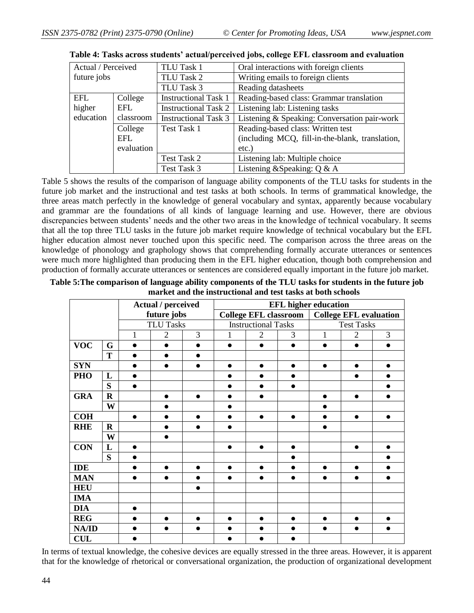| Actual / Perceived |            | TLU Task 1                  | Oral interactions with foreign clients          |
|--------------------|------------|-----------------------------|-------------------------------------------------|
| future jobs        |            | TLU Task 2                  | Writing emails to foreign clients               |
|                    |            | TLU Task 3                  | Reading datasheets                              |
| <b>EFL</b>         | College    | <b>Instructional Task 1</b> | Reading-based class: Grammar translation        |
| higher             | EFL        | <b>Instructional Task 2</b> | Listening lab: Listening tasks                  |
| education          | classroom  | <b>Instructional Task 3</b> | Listening & Speaking: Conversation pair-work    |
|                    | College    | Test Task 1                 | Reading-based class: Written test               |
|                    | EFL        |                             | (including MCQ, fill-in-the-blank, translation, |
|                    | evaluation |                             | $etc.$ )                                        |
|                    |            | Test Task 2                 | Listening lab: Multiple choice                  |
|                    |            | Test Task 3                 | Listening & Speaking: $Q & A$                   |

| Table 4: Tasks across students' actual/perceived jobs, college EFL classroom and evaluation |  |  |  |  |  |
|---------------------------------------------------------------------------------------------|--|--|--|--|--|
|                                                                                             |  |  |  |  |  |

Table 5 shows the results of the comparison of language ability components of the TLU tasks for students in the future job market and the instructional and test tasks at both schools. In terms of grammatical knowledge, the three areas match perfectly in the knowledge of general vocabulary and syntax, apparently because vocabulary and grammar are the foundations of all kinds of language learning and use. However, there are obvious discrepancies between students" needs and the other two areas in the knowledge of technical vocabulary. It seems that all the top three TLU tasks in the future job market require knowledge of technical vocabulary but the EFL higher education almost never touched upon this specific need. The comparison across the three areas on the knowledge of phonology and graphology shows that comprehending formally accurate utterances or sentences were much more highlighted than producing them in the EFL higher education, though both comprehension and production of formally accurate utterances or sentences are considered equally important in the future job market.

|            |             |           | <b>EFL</b> higher education<br>Actual / perceived |           |                              |                            |           |           |                               |           |  |
|------------|-------------|-----------|---------------------------------------------------|-----------|------------------------------|----------------------------|-----------|-----------|-------------------------------|-----------|--|
|            |             |           | future jobs                                       |           | <b>College EFL classroom</b> |                            |           |           | <b>College EFL evaluation</b> |           |  |
|            |             |           | <b>TLU Tasks</b>                                  |           |                              | <b>Instructional Tasks</b> |           |           | <b>Test Tasks</b>             |           |  |
|            |             | 1         | $\overline{2}$                                    | 3         | 1                            | $\overline{2}$             | 3         | 1         | $\overline{2}$                | 3         |  |
| <b>VOC</b> | G           | $\bullet$ | $\bullet$                                         |           | $\bullet$                    | $\bullet$                  | $\bullet$ | $\bullet$ | $\bullet$                     | $\bullet$ |  |
|            | T           | $\bullet$ | $\bullet$                                         |           |                              |                            |           |           |                               |           |  |
| <b>SYN</b> |             |           | ●                                                 |           |                              | $\bullet$                  |           | $\bullet$ | $\bullet$                     | ●         |  |
| PHO        | L           |           |                                                   |           |                              | $\bullet$                  | ●         |           | $\bullet$                     |           |  |
|            | S           |           |                                                   |           |                              | ●                          |           |           |                               |           |  |
| <b>GRA</b> | $\mathbf R$ |           | $\bullet$                                         | $\bullet$ |                              | $\bullet$                  |           | $\bullet$ | $\bullet$                     | $\bullet$ |  |
|            | W           |           | ●                                                 |           | ●                            |                            |           |           |                               |           |  |
| <b>COH</b> |             | $\bullet$ |                                                   | $\bullet$ | ●                            | $\bullet$                  | $\bullet$ |           | $\bullet$                     | $\bullet$ |  |
| <b>RHE</b> | $\mathbf R$ |           |                                                   |           |                              |                            |           |           |                               |           |  |
|            | W           |           |                                                   |           |                              |                            |           |           |                               |           |  |
| <b>CON</b> | L           | $\bullet$ |                                                   |           | $\bullet$                    | $\bullet$                  |           |           | $\bullet$                     | $\bullet$ |  |
|            | S           |           |                                                   |           |                              |                            |           |           |                               |           |  |
| <b>IDE</b> |             |           | $\bullet$                                         | $\bullet$ |                              | $\bullet$                  |           | $\bullet$ | $\bullet$                     |           |  |
| <b>MAN</b> |             |           | $\bullet$                                         |           |                              |                            |           |           |                               |           |  |
| <b>HEU</b> |             |           |                                                   | ●         |                              |                            |           |           |                               |           |  |
| <b>IMA</b> |             |           |                                                   |           |                              |                            |           |           |                               |           |  |
| <b>DIA</b> |             |           |                                                   |           |                              |                            |           |           |                               |           |  |
| <b>REG</b> |             |           |                                                   |           |                              |                            |           |           |                               | ●         |  |
| NA/ID      |             |           |                                                   |           |                              |                            |           |           |                               | ●         |  |
| <b>CUL</b> |             |           |                                                   |           |                              |                            |           |           |                               |           |  |

**Table 5:The comparison of language ability components of the TLU tasks for students in the future job market and the instructional and test tasks at both schools**

In terms of textual knowledge, the cohesive devices are equally stressed in the three areas. However, it is apparent that for the knowledge of rhetorical or conversational organization, the production of organizational development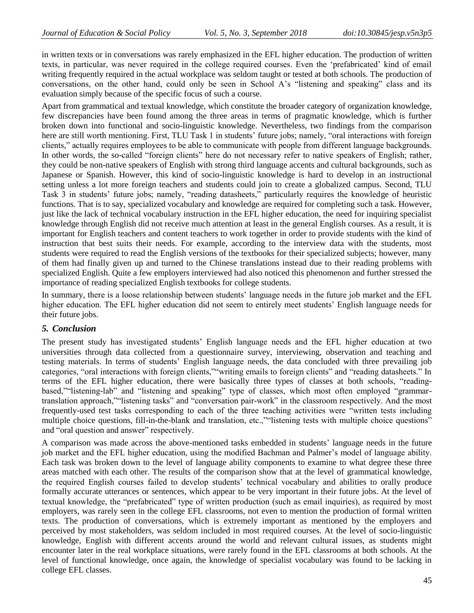in written texts or in conversations was rarely emphasized in the EFL higher education. The production of written texts, in particular, was never required in the college required courses. Even the "prefabricated" kind of email writing frequently required in the actual workplace was seldom taught or tested at both schools. The production of conversations, on the other hand, could only be seen in School A"s "listening and speaking" class and its evaluation simply because of the specific focus of such a course.

Apart from grammatical and textual knowledge, which constitute the broader category of organization knowledge, few discrepancies have been found among the three areas in terms of pragmatic knowledge, which is further broken down into functional and socio-linguistic knowledge. Nevertheless, two findings from the comparison here are still worth mentioning. First, TLU Task 1 in students' future jobs; namely, "oral interactions with foreign clients," actually requires employees to be able to communicate with people from different language backgrounds. In other words, the so-called "foreign clients" here do not necessary refer to native speakers of English; rather, they could be non-native speakers of English with strong third language accents and cultural backgrounds, such as Japanese or Spanish. However, this kind of socio-linguistic knowledge is hard to develop in an instructional setting unless a lot more foreign teachers and students could join to create a globalized campus. Second, TLU Task 3 in students" future jobs; namely, "reading datasheets," particularly requires the knowledge of heuristic functions. That is to say, specialized vocabulary and knowledge are required for completing such a task. However, just like the lack of technical vocabulary instruction in the EFL higher education, the need for inquiring specialist knowledge through English did not receive much attention at least in the general English courses. As a result, it is important for English teachers and content teachers to work together in order to provide students with the kind of instruction that best suits their needs. For example, according to the interview data with the students, most students were required to read the English versions of the textbooks for their specialized subjects; however, many of them had finally given up and turned to the Chinese translations instead due to their reading problems with specialized English. Quite a few employers interviewed had also noticed this phenomenon and further stressed the importance of reading specialized English textbooks for college students.

In summary, there is a loose relationship between students" language needs in the future job market and the EFL higher education. The EFL higher education did not seem to entirely meet students' English language needs for their future jobs.

### *5. Conclusion*

The present study has investigated students" English language needs and the EFL higher education at two universities through data collected from a questionnaire survey, interviewing, observation and teaching and testing materials. In terms of students" English language needs, the data concluded with three prevailing job categories, "oral interactions with foreign clients,""writing emails to foreign clients" and "reading datasheets." In terms of the EFL higher education, there were basically three types of classes at both schools, "readingbased,""listening-lab" and "listening and speaking" type of classes, which most often employed "grammartranslation approach,""listening tasks" and "conversation pair-work" in the classroom respectively. And the most frequently-used test tasks corresponding to each of the three teaching activities were "written tests including multiple choice questions, fill-in-the-blank and translation, etc.," listening tests with multiple choice questions" and "oral question and answer" respectively.

A comparison was made across the above-mentioned tasks embedded in students" language needs in the future job market and the EFL higher education, using the modified Bachman and Palmer"s model of language ability. Each task was broken down to the level of language ability components to examine to what degree these three areas matched with each other. The results of the comparison show that at the level of grammatical knowledge, the required English courses failed to develop students" technical vocabulary and abilities to orally produce formally accurate utterances or sentences, which appear to be very important in their future jobs. At the level of textual knowledge, the "prefabricated" type of written production (such as email inquiries), as required by most employers, was rarely seen in the college EFL classrooms, not even to mention the production of formal written texts. The production of conversations, which is extremely important as mentioned by the employers and perceived by most stakeholders, was seldom included in most required courses. At the level of socio-linguistic knowledge, English with different accents around the world and relevant cultural issues, as students might encounter later in the real workplace situations, were rarely found in the EFL classrooms at both schools. At the level of functional knowledge, once again, the knowledge of specialist vocabulary was found to be lacking in college EFL classes.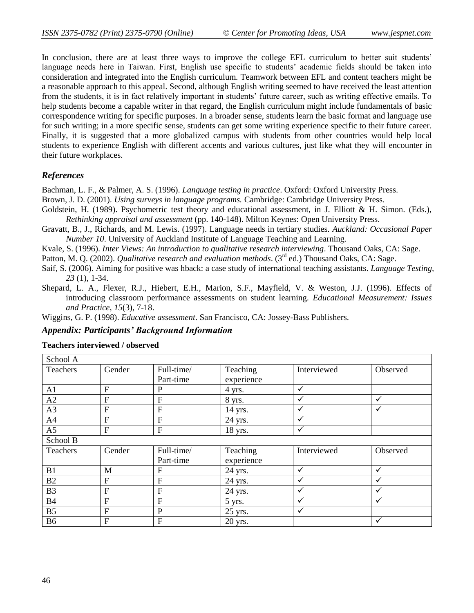In conclusion, there are at least three ways to improve the college EFL curriculum to better suit students' language needs here in Taiwan. First, English use specific to students" academic fields should be taken into consideration and integrated into the English curriculum. Teamwork between EFL and content teachers might be a reasonable approach to this appeal. Second, although English writing seemed to have received the least attention from the students, it is in fact relatively important in students" future career, such as writing effective emails. To help students become a capable writer in that regard, the English curriculum might include fundamentals of basic correspondence writing for specific purposes. In a broader sense, students learn the basic format and language use for such writing; in a more specific sense, students can get some writing experience specific to their future career. Finally, it is suggested that a more globalized campus with students from other countries would help local students to experience English with different accents and various cultures, just like what they will encounter in their future workplaces.

### *References*

Bachman, L. F., & Palmer, A. S. (1996). *Language testing in practice*. Oxford: Oxford University Press.

- Brown, J. D. (2001). *Using surveys in language programs.* Cambridge: Cambridge University Press.
- Goldstein, H. (1989). Psychometric test theory and educational assessment, in J. Elliott & H. Simon. (Eds.), *Rethinking appraisal and assessment* (pp. 140-148). Milton Keynes: Open University Press.
- Gravatt, B., J., Richards, and M. Lewis. (1997). Language needs in tertiary studies*. Auckland: Occasional Paper Number 10*. University of Auckland Institute of Language Teaching and Learning.

Kvale, S. (1996). *Inter Views: An introduction to qualitative research interviewing*. Thousand Oaks, CA: Sage.

Patton, M. Q. (2002). *Qualitative research and evaluation methods*. (3<sup>rd</sup> ed.) Thousand Oaks, CA: Sage.

- Saif, S. (2006). Aiming for positive was hback: a case study of international teaching assistants. *Language Testing, 23* (1), 1-34.
- Shepard, L. A., Flexer, R.J., Hiebert, E.H., Marion, S.F., Mayfield, V. & Weston, J.J. (1996). Effects of introducing classroom performance assessments on student learning. *Educational Measurement: Issues and Practice, 15*(3), 7-18.

Wiggins, G. P. (1998). *Educative assessment*. San Francisco, CA: Jossey-Bass Publishers.

#### *Appendix: Participants' Background Information*

### **Teachers interviewed / observed**

| School A       |                |                |            |              |              |
|----------------|----------------|----------------|------------|--------------|--------------|
| Teachers       | Gender         | Full-time/     | Teaching   | Interviewed  | Observed     |
|                |                | Part-time      | experience |              |              |
| A1             | $\overline{F}$ | $\mathbf P$    | 4 yrs.     | $\checkmark$ |              |
| A2             | $\overline{F}$ | $\mathbf F$    | 8 yrs.     | ✓            | ✓            |
| A3             | $\overline{F}$ | $\mathbf F$    | 14 yrs.    | ✓            | $\checkmark$ |
| A <sub>4</sub> | $\overline{F}$ | $\overline{F}$ | 24 yrs.    | $\checkmark$ |              |
| A <sub>5</sub> | $\overline{F}$ | $\mathbf F$    | 18 yrs.    | $\checkmark$ |              |
| School B       |                |                |            |              |              |
| Teachers       | Gender         | Full-time/     | Teaching   | Interviewed  | Observed     |
|                |                | Part-time      | experience |              |              |
| B1             | M              | ${\bf F}$      | 24 yrs.    | $\checkmark$ | $\checkmark$ |
| B2             | $\overline{F}$ | $\overline{F}$ | 24 yrs.    | ✓            | ✓            |
| <b>B3</b>      | $\mathbf F$    | $\mathbf F$    | 24 yrs.    | ✓            | ✓            |
| <b>B4</b>      | $\overline{F}$ | $\mathbf F$    | 5 yrs.     | $\checkmark$ | $\checkmark$ |
| B <sub>5</sub> | $\overline{F}$ | $\mathbf P$    | 25 yrs.    | $\checkmark$ |              |
| <b>B6</b>      | $\mathbf F$    | $\mathbf F$    | 20 yrs.    |              | ✓            |